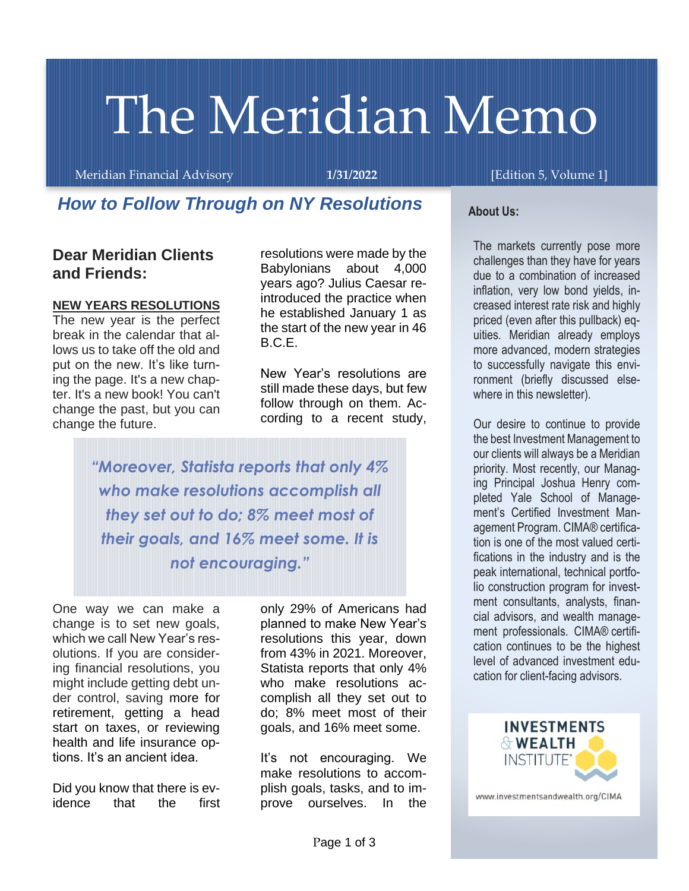# The Meridian Memo

Meridian Financial Advisory **1/31/2022** [Edition 5, Volume 1]

# *How to Follow Through on NY Resolutions*

## **Dear Meridian Clients and Friends:**

#### **NEW YEARS RESOLUTIONS**

The new year is the perfect break in the calendar that allows us to take off the old and put on the new. It's like turning the page. It's a new chapter. It's a new book! You can't change the past, but you can change the future.

resolutions were made by the Babylonians about 4,000 years ago? Julius Caesar reintroduced the practice when he established January 1 as the start of the new year in 46 B.C.E.

New Year's resolutions are still made these days, but few follow through on them. According to a recent study,

*"Moreover, Statista reports that only 4% who make resolutions accomplish all they set out to do; 8% meet most of their goals, and 16% meet some. It is not encouraging."*

One way we can make a change is to set new goals, which we call New Year's resolutions. If you are considering financial resolutions, you might include getting debt under control, saving more for retirement, getting a head start on taxes, or reviewing health and life insurance options. It's an ancient idea.

Did you know that there is evidence that the first

only 29% of Americans had planned to make New Year's resolutions this year, down from 43% in 2021. Moreover, Statista reports that only 4% who make resolutions accomplish all they set out to do; 8% meet most of their goals, and 16% meet some.

It's not encouraging. We make resolutions to accomplish goals, tasks, and to improve ourselves. In the

#### **About Us:**

The markets currently pose more challenges than they have for years due to a combination of increased inflation, very low bond yields, increased interest rate risk and highly priced (even after this pullback) equities. Meridian already employs more advanced, modern strategies to successfully navigate this environment (briefly discussed elsewhere in this newsletter).

Our desire to continue to provide the best Investment Management to our clients will always be a Meridian priority. Most recently, our Managing Principal Joshua Henry completed Yale School of Management's Certified Investment Management Program. CIMA® certification is one of the most valued certifications in the industry and is the peak international, technical portfolio construction program for investment consultants, analysts, financial advisors, and wealth management professionals. CIMA® certification continues to be the highest level of advanced investment education for client-facing advisors.



www.investmentsandwealth.org/CIMA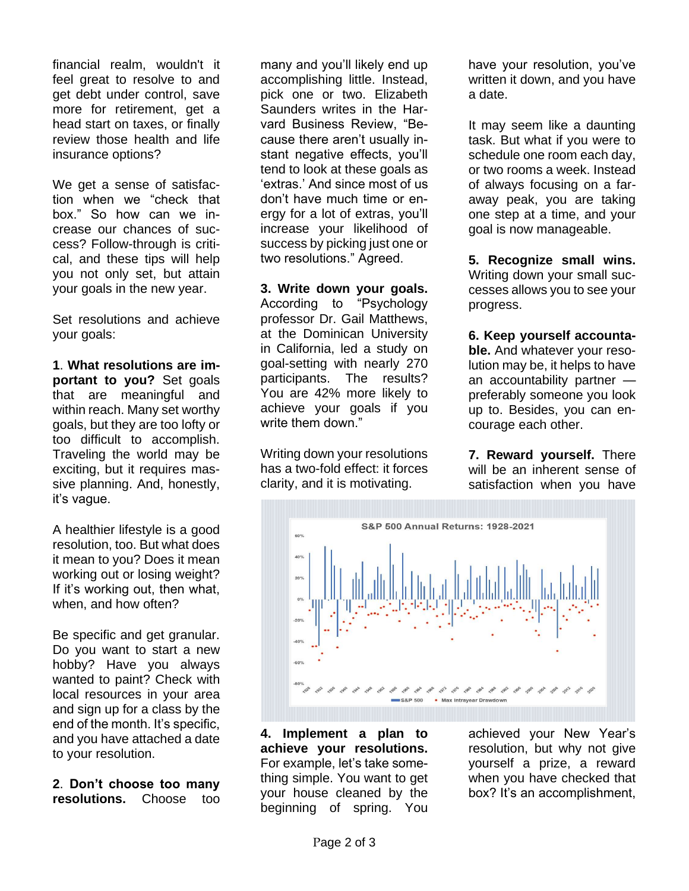financial realm, wouldn't it feel great to resolve to and get debt under control, save more for retirement, get a head start on taxes, or finally review those health and life insurance options?

We get a sense of satisfaction when we "check that box." So how can we increase our chances of success? Follow-through is critical, and these tips will help you not only set, but attain your goals in the new year.

Set resolutions and achieve your goals:

**1**. **What resolutions are important to you?** Set goals that are meaningful and within reach. Many set worthy goals, but they are too lofty or too difficult to accomplish. Traveling the world may be exciting, but it requires massive planning. And, honestly, it's vague.

A healthier lifestyle is a good resolution, too. But what does it mean to you? Does it mean working out or losing weight? If it's working out, then what, when, and how often?

Be specific and get granular. Do you want to start a new hobby? Have you always wanted to paint? Check with local resources in your area and sign up for a class by the end of the month. It's specific, and you have attached a date to your resolution.

**2**. **Don't choose too many resolutions.** Choose too

many and you'll likely end up accomplishing little. Instead, pick one or two. Elizabeth Saunders writes in the Harvard Business Review, "Because there aren't usually instant negative effects, you'll tend to look at these goals as 'extras.' And since most of us don't have much time or energy for a lot of extras, you'll increase your likelihood of success by picking just one or two resolutions." Agreed.

**3. Write down your goals.**

According to "Psychology professor Dr. Gail Matthews, at the Dominican University in California, led a study on goal-setting with nearly 270 participants. The results? You are 42% more likely to achieve your goals if you write them down "

Writing down your resolutions has a two-fold effect: it forces clarity, and it is motivating.

have your resolution, you've written it down, and you have a date.

It may seem like a daunting task. But what if you were to schedule one room each day, or two rooms a week. Instead of always focusing on a faraway peak, you are taking one step at a time, and your goal is now manageable.

**5. Recognize small wins.**  Writing down your small successes allows you to see your progress.

**6. Keep yourself accountable.** And whatever your resolution may be, it helps to have an accountability partner preferably someone you look up to. Besides, you can encourage each other.

**7. Reward yourself.** There will be an inherent sense of satisfaction when you have



**4. Implement a plan to achieve your resolutions.** For example, let's take something simple. You want to get your house cleaned by the beginning of spring. You achieved your New Year's resolution, but why not give yourself a prize, a reward when you have checked that box? It's an accomplishment,